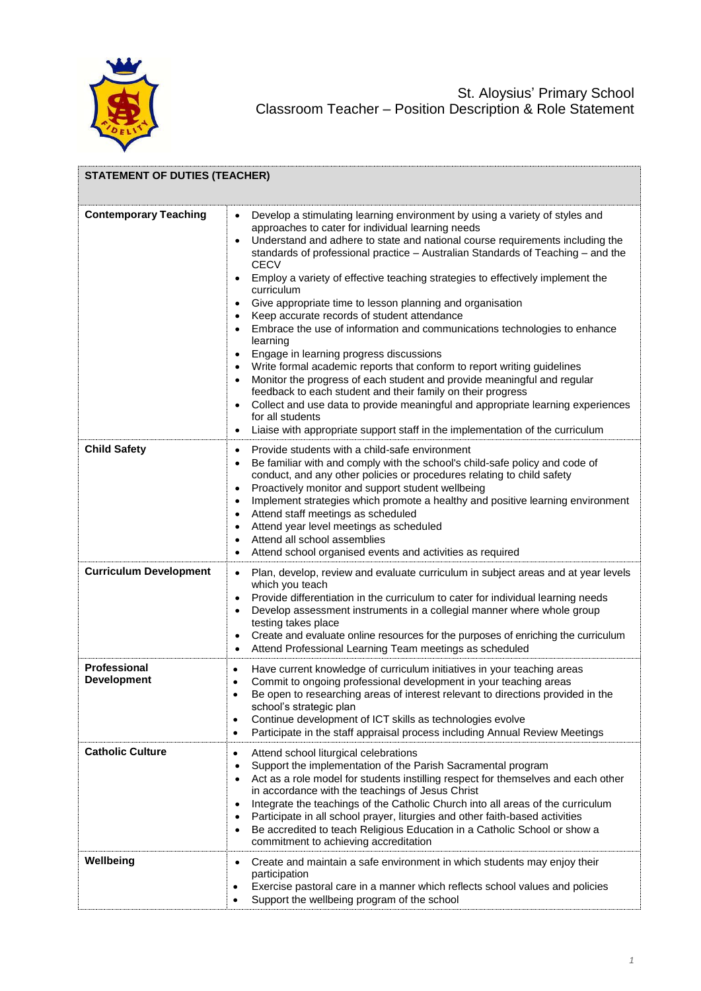

| <b>STATEMENT OF DUTIES (TEACHER)</b>      |                                                                                                                                                                                                                                                                                                                                                                                                                                                                                                                                                                                                                                                                                                                                                                                                                                                                                                                                                                                                                                                                                                                                                                             |
|-------------------------------------------|-----------------------------------------------------------------------------------------------------------------------------------------------------------------------------------------------------------------------------------------------------------------------------------------------------------------------------------------------------------------------------------------------------------------------------------------------------------------------------------------------------------------------------------------------------------------------------------------------------------------------------------------------------------------------------------------------------------------------------------------------------------------------------------------------------------------------------------------------------------------------------------------------------------------------------------------------------------------------------------------------------------------------------------------------------------------------------------------------------------------------------------------------------------------------------|
| <b>Contemporary Teaching</b>              | Develop a stimulating learning environment by using a variety of styles and<br>$\bullet$<br>approaches to cater for individual learning needs<br>Understand and adhere to state and national course requirements including the<br>standards of professional practice - Australian Standards of Teaching - and the<br><b>CECV</b><br>Employ a variety of effective teaching strategies to effectively implement the<br>curriculum<br>Give appropriate time to lesson planning and organisation<br>$\bullet$<br>Keep accurate records of student attendance<br>$\bullet$<br>Embrace the use of information and communications technologies to enhance<br>$\bullet$<br>learning<br>Engage in learning progress discussions<br>$\bullet$<br>Write formal academic reports that conform to report writing guidelines<br>Monitor the progress of each student and provide meaningful and regular<br>$\bullet$<br>feedback to each student and their family on their progress<br>Collect and use data to provide meaningful and appropriate learning experiences<br>for all students<br>Liaise with appropriate support staff in the implementation of the curriculum<br>$\bullet$ |
| <b>Child Safety</b>                       | Provide students with a child-safe environment<br>$\bullet$<br>Be familiar with and comply with the school's child-safe policy and code of<br>$\bullet$<br>conduct, and any other policies or procedures relating to child safety<br>Proactively monitor and support student wellbeing<br>$\bullet$<br>Implement strategies which promote a healthy and positive learning environment<br>$\bullet$<br>Attend staff meetings as scheduled<br>$\bullet$<br>Attend year level meetings as scheduled<br>$\bullet$<br>Attend all school assemblies<br>$\bullet$<br>Attend school organised events and activities as required<br>٠                                                                                                                                                                                                                                                                                                                                                                                                                                                                                                                                                |
| <b>Curriculum Development</b>             | Plan, develop, review and evaluate curriculum in subject areas and at year levels<br>$\bullet$<br>which you teach<br>Provide differentiation in the curriculum to cater for individual learning needs<br>$\bullet$<br>Develop assessment instruments in a collegial manner where whole group<br>$\bullet$<br>testing takes place<br>Create and evaluate online resources for the purposes of enriching the curriculum<br>٠<br>Attend Professional Learning Team meetings as scheduled<br>$\bullet$                                                                                                                                                                                                                                                                                                                                                                                                                                                                                                                                                                                                                                                                          |
| <b>Professional</b><br><b>Development</b> | Have current knowledge of curriculum initiatives in your teaching areas<br>$\bullet$<br>Commit to ongoing professional development in your teaching areas<br>$\bullet$<br>Be open to researching areas of interest relevant to directions provided in the<br>school's strategic plan<br>Continue development of ICT skills as technologies evolve<br>$\bullet$<br>Participate in the staff appraisal process including Annual Review Meetings<br>$\bullet$                                                                                                                                                                                                                                                                                                                                                                                                                                                                                                                                                                                                                                                                                                                  |
| <b>Catholic Culture</b>                   | Attend school liturgical celebrations<br>$\bullet$<br>Support the implementation of the Parish Sacramental program<br>$\bullet$<br>Act as a role model for students instilling respect for themselves and each other<br>٠<br>in accordance with the teachings of Jesus Christ<br>Integrate the teachings of the Catholic Church into all areas of the curriculum<br>٠<br>Participate in all school prayer, liturgies and other faith-based activities<br>$\bullet$<br>Be accredited to teach Religious Education in a Catholic School or show a<br>$\bullet$<br>commitment to achieving accreditation                                                                                                                                                                                                                                                                                                                                                                                                                                                                                                                                                                       |
| Wellbeing                                 | Create and maintain a safe environment in which students may enjoy their<br>participation<br>Exercise pastoral care in a manner which reflects school values and policies<br>$\bullet$<br>Support the wellbeing program of the school<br>$\bullet$                                                                                                                                                                                                                                                                                                                                                                                                                                                                                                                                                                                                                                                                                                                                                                                                                                                                                                                          |